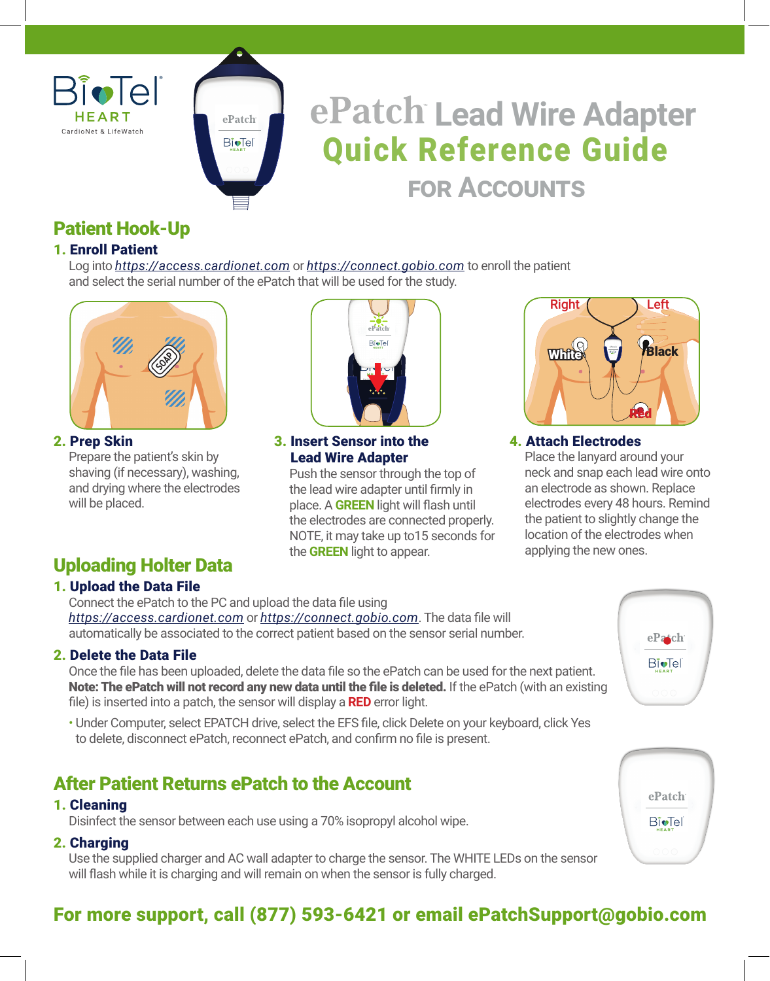



# Quick Reference Guide **Lead Wire Adapter for Accounts**

# Patient Hook-Up

## 1. Enroll Patient

 Log into *https://access.cardionet.com* or *https://connect.gobio.com* to enroll the patient and select the serial number of the ePatch that will be used for the study.



#### 2. Prep Skin

 Prepare the patient's skin by shaving (if necessary), washing, and drying where the electrodes will be placed.

# Uploading Holter Data

## 1. Upload the Data File

Connect the ePatch to the PC and upload the data file using *https://access.cardionet.com* or *https://connect.gobio.com*. The data file will automatically be associated to the correct patient based on the sensor serial number.

## 2. Delete the Data File

Once the file has been uploaded, delete the data file so the ePatch can be used for the next patient. Note: The ePatch will not record any new data until the file is deleted. If the ePatch (with an existing file) is inserted into a patch, the sensor will display a **RED** error light.

• Under Computer, select EPATCH drive, select the EFS file, click Delete on your keyboard, click Yes to delete, disconnect ePatch, reconnect ePatch, and confirm no file is present.

# After Patient Returns ePatch to the Account

## 1. Cleaning

Disinfect the sensor between each use using a 70% isopropyl alcohol wipe.

## 2. Charging

Use the supplied charger and AC wall adapter to charge the sensor. The WHITE LEDs on the sensor will flash while it is charging and will remain on when the sensor is fully charged.



#### 3. Insert Sensor into the Lead Wire Adapter

 Push the sensor through the top of the lead wire adapter until firmly in place. A **GREEN** light will flash until the electrodes are connected properly. NOTE, it may take up to15 seconds for the **GREEN** light to appear.



#### 4. Attach Electrodes

 Place the lanyard around your neck and snap each lead wire onto an electrode as shown. Replace electrodes every 48 hours. Remind the patient to slightly change the location of the electrodes when applying the new ones.





# For more support, call (877) 593-6421 or email ePatchSupport@gobio.com